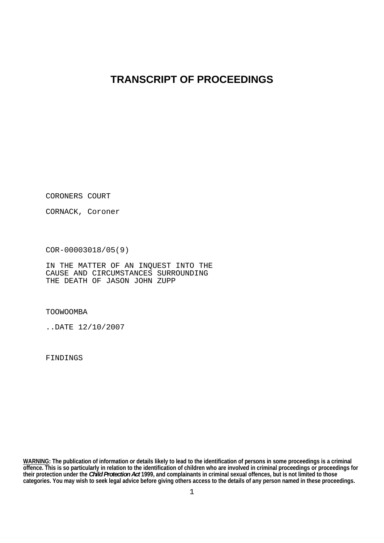# **TRANSCRIPT OF PROCEEDINGS**

CORONERS COURT

CORNACK, Coroner

COR-00003018/05(9)

IN THE MATTER OF AN INQUEST INTO THE CAUSE AND CIRCUMSTANCES SURROUNDING THE DEATH OF JASON JOHN ZUPP

TOOWOOMBA

..DATE 12/10/2007

FINDINGS

**WARNING: The publication of information or details likely to lead to the identification of persons in some proceedings is a criminal offence. This is so particularly in relation to the identification of children who are involved in criminal proceedings or proceedings for their protection under the** *Child Protection Act* **1999, and complainants in criminal sexual offences, but is not limited to those categories. You may wish to seek legal advice before giving others access to the details of any person named in these proceedings.**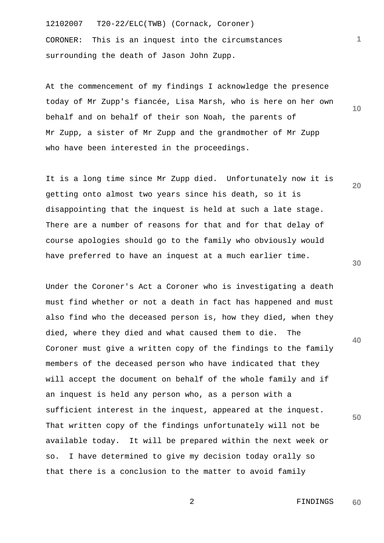12102007 T20-22/ELC(TWB) (Cornack, Coroner) CORONER: This is an inquest into the circumstances surrounding the death of Jason John Zupp.

At the commencement of my findings I acknowledge the presence today of Mr Zupp's fiancée, Lisa Marsh, who is here on her own behalf and on behalf of their son Noah, the parents of Mr Zupp, a sister of Mr Zupp and the grandmother of Mr Zupp who have been interested in the proceedings.

It is a long time since Mr Zupp died. Unfortunately now it is getting onto almost two years since his death, so it is disappointing that the inquest is held at such a late stage. There are a number of reasons for that and for that delay of course apologies should go to the family who obviously would have preferred to have an inquest at a much earlier time.

Under the Coroner's Act a Coroner who is investigating a death must find whether or not a death in fact has happened and must also find who the deceased person is, how they died, when they died, where they died and what caused them to die. The Coroner must give a written copy of the findings to the family members of the deceased person who have indicated that they will accept the document on behalf of the whole family and if an inquest is held any person who, as a person with a sufficient interest in the inquest, appeared at the inquest. That written copy of the findings unfortunately will not be available today. It will be prepared within the next week or so. I have determined to give my decision today orally so that there is a conclusion to the matter to avoid family

**10** 

**20** 

**1**

**30** 

**40**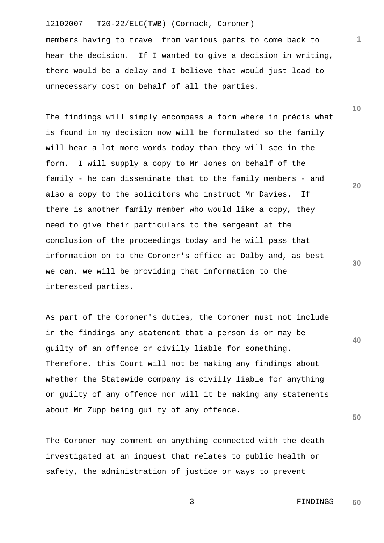members having to travel from various parts to come back to hear the decision. If I wanted to give a decision in writing, there would be a delay and I believe that would just lead to unnecessary cost on behalf of all the parties.

The findings will simply encompass a form where in précis what is found in my decision now will be formulated so the family will hear a lot more words today than they will see in the form. I will supply a copy to Mr Jones on behalf of the family - he can disseminate that to the family members - and also a copy to the solicitors who instruct Mr Davies. If there is another family member who would like a copy, they need to give their particulars to the sergeant at the conclusion of the proceedings today and he will pass that information on to the Coroner's office at Dalby and, as best we can, we will be providing that information to the interested parties.

**40**  As part of the Coroner's duties, the Coroner must not include in the findings any statement that a person is or may be guilty of an offence or civilly liable for something. Therefore, this Court will not be making any findings about whether the Statewide company is civilly liable for anything or guilty of any offence nor will it be making any statements about Mr Zupp being guilty of any offence.

The Coroner may comment on anything connected with the death investigated at an inquest that relates to public health or safety, the administration of justice or ways to prevent

**10** 

**1**

**20** 

**30**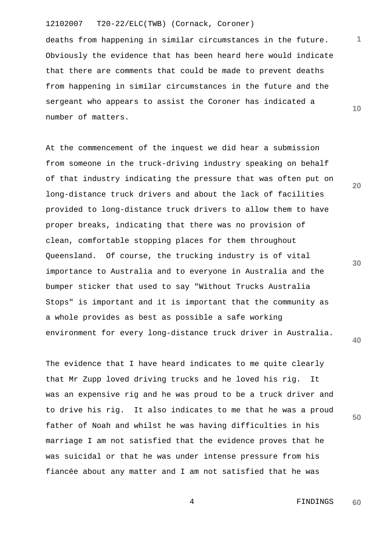deaths from happening in similar circumstances in the future. Obviously the evidence that has been heard here would indicate that there are comments that could be made to prevent deaths from happening in similar circumstances in the future and the sergeant who appears to assist the Coroner has indicated a number of matters.

At the commencement of the inquest we did hear a submission from someone in the truck-driving industry speaking on behalf of that industry indicating the pressure that was often put on long-distance truck drivers and about the lack of facilities provided to long-distance truck drivers to allow them to have proper breaks, indicating that there was no provision of clean, comfortable stopping places for them throughout Queensland. Of course, the trucking industry is of vital importance to Australia and to everyone in Australia and the bumper sticker that used to say "Without Trucks Australia Stops" is important and it is important that the community as a whole provides as best as possible a safe working environment for every long-distance truck driver in Australia.

The evidence that I have heard indicates to me quite clearly that Mr Zupp loved driving trucks and he loved his rig. It was an expensive rig and he was proud to be a truck driver and to drive his rig. It also indicates to me that he was a proud father of Noah and whilst he was having difficulties in his marriage I am not satisfied that the evidence proves that he was suicidal or that he was under intense pressure from his fiancée about any matter and I am not satisfied that he was

**30** 

**20** 

**1**

**10** 

**40**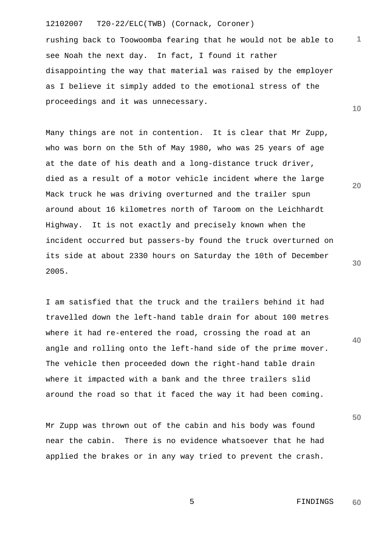rushing back to Toowoomba fearing that he would not be able to see Noah the next day. In fact, I found it rather disappointing the way that material was raised by the employer as I believe it simply added to the emotional stress of the proceedings and it was unnecessary.

Many things are not in contention. It is clear that Mr Zupp, who was born on the 5th of May 1980, who was 25 years of age at the date of his death and a long-distance truck driver, died as a result of a motor vehicle incident where the large Mack truck he was driving overturned and the trailer spun around about 16 kilometres north of Taroom on the Leichhardt Highway. It is not exactly and precisely known when the incident occurred but passers-by found the truck overturned on its side at about 2330 hours on Saturday the 10th of December 2005.

I am satisfied that the truck and the trailers behind it had travelled down the left-hand table drain for about 100 metres where it had re-entered the road, crossing the road at an angle and rolling onto the left-hand side of the prime mover. The vehicle then proceeded down the right-hand table drain where it impacted with a bank and the three trailers slid around the road so that it faced the way it had been coming.

Mr Zupp was thrown out of the cabin and his body was found near the cabin. There is no evidence whatsoever that he had applied the brakes or in any way tried to prevent the crash.

**30** 

**20** 

**1**

**10** 

**40**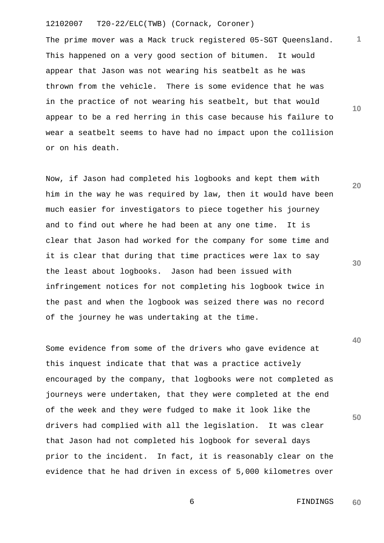The prime mover was a Mack truck registered 05-SGT Queensland. This happened on a very good section of bitumen. It would appear that Jason was not wearing his seatbelt as he was thrown from the vehicle. There is some evidence that he was in the practice of not wearing his seatbelt, but that would appear to be a red herring in this case because his failure to wear a seatbelt seems to have had no impact upon the collision or on his death.

Now, if Jason had completed his logbooks and kept them with him in the way he was required by law, then it would have been much easier for investigators to piece together his journey and to find out where he had been at any one time. It is clear that Jason had worked for the company for some time and it is clear that during that time practices were lax to say the least about logbooks. Jason had been issued with infringement notices for not completing his logbook twice in the past and when the logbook was seized there was no record of the journey he was undertaking at the time.

Some evidence from some of the drivers who gave evidence at this inquest indicate that that was a practice actively encouraged by the company, that logbooks were not completed as journeys were undertaken, that they were completed at the end of the week and they were fudged to make it look like the drivers had complied with all the legislation. It was clear that Jason had not completed his logbook for several days prior to the incident. In fact, it is reasonably clear on the evidence that he had driven in excess of 5,000 kilometres over

**10** 

**20** 

**1**

**30** 

**40**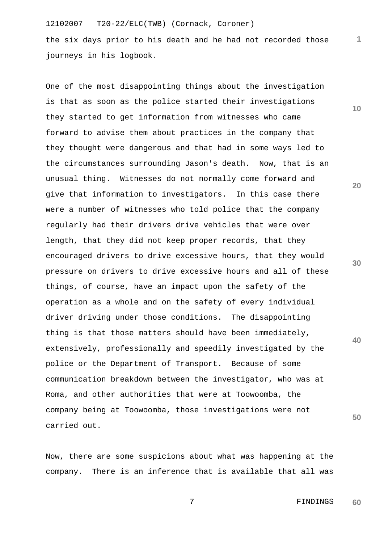the six days prior to his death and he had not recorded those journeys in his logbook.

One of the most disappointing things about the investigation is that as soon as the police started their investigations they started to get information from witnesses who came forward to advise them about practices in the company that they thought were dangerous and that had in some ways led to the circumstances surrounding Jason's death. Now, that is an unusual thing. Witnesses do not normally come forward and give that information to investigators. In this case there were a number of witnesses who told police that the company regularly had their drivers drive vehicles that were over length, that they did not keep proper records, that they encouraged drivers to drive excessive hours, that they would pressure on drivers to drive excessive hours and all of these things, of course, have an impact upon the safety of the operation as a whole and on the safety of every individual driver driving under those conditions. The disappointing thing is that those matters should have been immediately, extensively, professionally and speedily investigated by the police or the Department of Transport. Because of some communication breakdown between the investigator, who was at Roma, and other authorities that were at Toowoomba, the company being at Toowoomba, those investigations were not carried out.

Now, there are some suspicions about what was happening at the company. There is an inference that is available that all was **10** 

**1**

**20** 

**30** 

**40**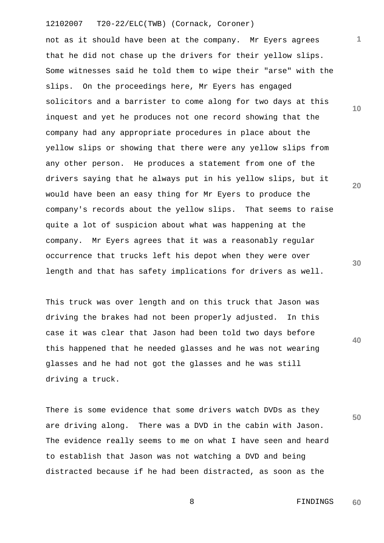not as it should have been at the company. Mr Eyers agrees that he did not chase up the drivers for their yellow slips. Some witnesses said he told them to wipe their "arse" with the slips. On the proceedings here, Mr Eyers has engaged solicitors and a barrister to come along for two days at this inquest and yet he produces not one record showing that the company had any appropriate procedures in place about the yellow slips or showing that there were any yellow slips from any other person. He produces a statement from one of the drivers saying that he always put in his yellow slips, but it would have been an easy thing for Mr Eyers to produce the company's records about the yellow slips. That seems to raise quite a lot of suspicion about what was happening at the company. Mr Eyers agrees that it was a reasonably regular occurrence that trucks left his depot when they were over length and that has safety implications for drivers as well.

This truck was over length and on this truck that Jason was driving the brakes had not been properly adjusted. In this case it was clear that Jason had been told two days before this happened that he needed glasses and he was not wearing glasses and he had not got the glasses and he was still driving a truck.

There is some evidence that some drivers watch DVDs as they are driving along. There was a DVD in the cabin with Jason. The evidence really seems to me on what I have seen and heard to establish that Jason was not watching a DVD and being distracted because if he had been distracted, as soon as the

**30** 

**20** 

**1**

**10** 

**40**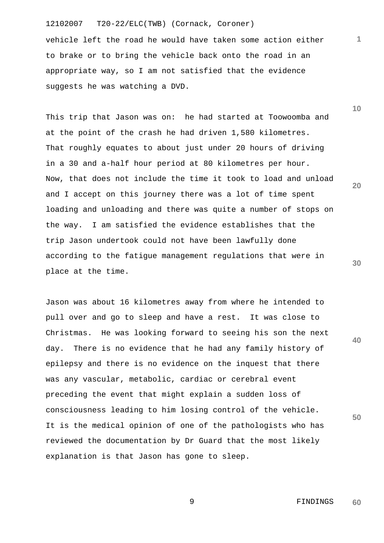vehicle left the road he would have taken some action either to brake or to bring the vehicle back onto the road in an appropriate way, so I am not satisfied that the evidence suggests he was watching a DVD.

This trip that Jason was on: he had started at Toowoomba and at the point of the crash he had driven 1,580 kilometres. That roughly equates to about just under 20 hours of driving in a 30 and a-half hour period at 80 kilometres per hour. Now, that does not include the time it took to load and unload and I accept on this journey there was a lot of time spent loading and unloading and there was quite a number of stops on the way. I am satisfied the evidence establishes that the trip Jason undertook could not have been lawfully done according to the fatigue management regulations that were in place at the time.

Jason was about 16 kilometres away from where he intended to pull over and go to sleep and have a rest. It was close to Christmas. He was looking forward to seeing his son the next day. There is no evidence that he had any family history of epilepsy and there is no evidence on the inquest that there was any vascular, metabolic, cardiac or cerebral event preceding the event that might explain a sudden loss of consciousness leading to him losing control of the vehicle. It is the medical opinion of one of the pathologists who has reviewed the documentation by Dr Guard that the most likely explanation is that Jason has gone to sleep.

**10** 

**1**

**20** 

**30** 

**40**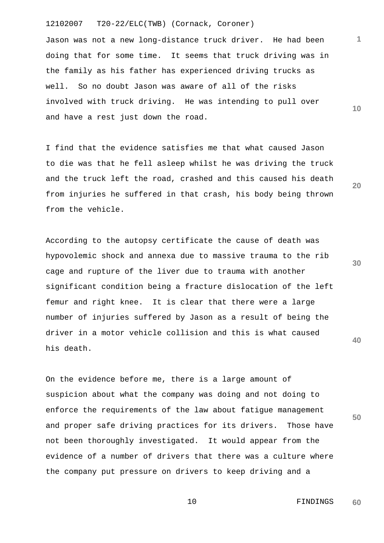Jason was not a new long-distance truck driver. He had been doing that for some time. It seems that truck driving was in the family as his father has experienced driving trucks as well. So no doubt Jason was aware of all of the risks involved with truck driving. He was intending to pull over and have a rest just down the road.

I find that the evidence satisfies me that what caused Jason to die was that he fell asleep whilst he was driving the truck and the truck left the road, crashed and this caused his death from injuries he suffered in that crash, his body being thrown from the vehicle.

**30 40**  According to the autopsy certificate the cause of death was hypovolemic shock and annexa due to massive trauma to the rib cage and rupture of the liver due to trauma with another significant condition being a fracture dislocation of the left femur and right knee. It is clear that there were a large number of injuries suffered by Jason as a result of being the driver in a motor vehicle collision and this is what caused his death.

On the evidence before me, there is a large amount of suspicion about what the company was doing and not doing to enforce the requirements of the law about fatigue management and proper safe driving practices for its drivers. Those have not been thoroughly investigated. It would appear from the evidence of a number of drivers that there was a culture where the company put pressure on drivers to keep driving and a

> 10 FINDINGS **60**

**50** 

**20** 

**1**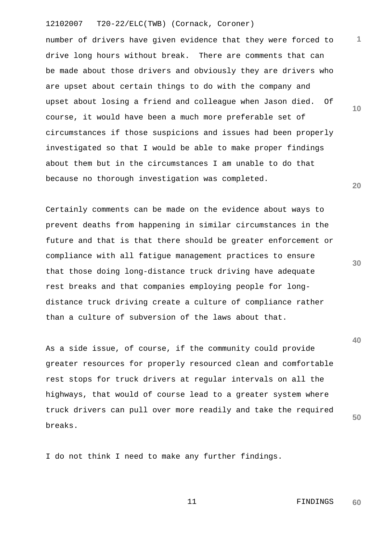**10 20**  number of drivers have given evidence that they were forced to drive long hours without break. There are comments that can be made about those drivers and obviously they are drivers who are upset about certain things to do with the company and upset about losing a friend and colleague when Jason died. Of course, it would have been a much more preferable set of circumstances if those suspicions and issues had been properly investigated so that I would be able to make proper findings about them but in the circumstances I am unable to do that because no thorough investigation was completed.

Certainly comments can be made on the evidence about ways to prevent deaths from happening in similar circumstances in the future and that is that there should be greater enforcement or compliance with all fatigue management practices to ensure that those doing long-distance truck driving have adequate rest breaks and that companies employing people for longdistance truck driving create a culture of compliance rather than a culture of subversion of the laws about that.

As a side issue, of course, if the community could provide greater resources for properly resourced clean and comfortable rest stops for truck drivers at regular intervals on all the highways, that would of course lead to a greater system where truck drivers can pull over more readily and take the required breaks.

I do not think I need to make any further findings.

 11 FINDINGS **60** 

**1**

**40** 

**50**